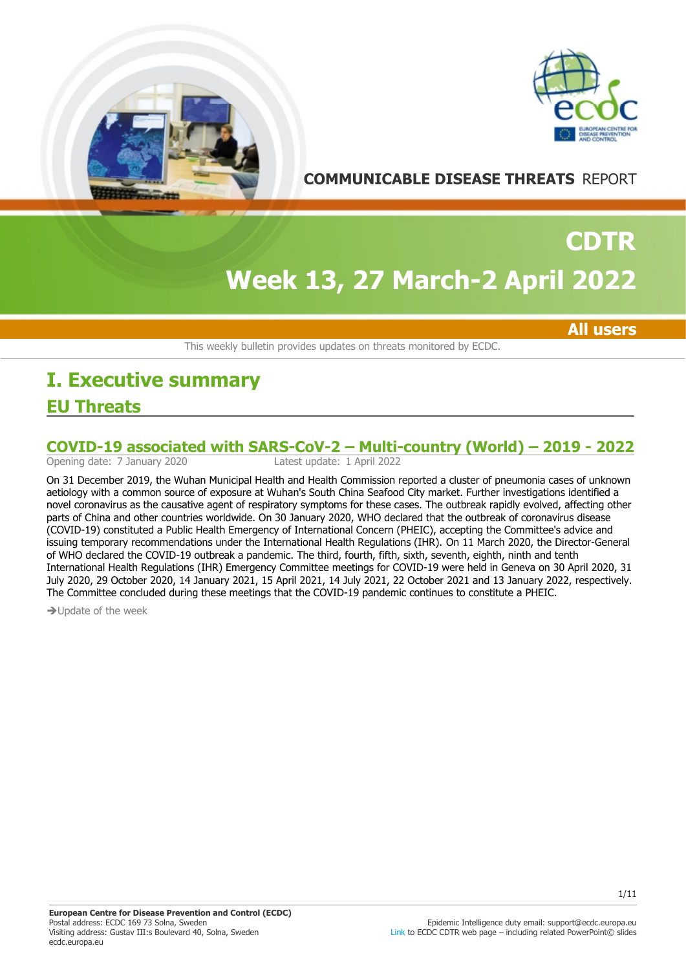



**COMMUNICABLE DISEASE THREATS** REPORT

# **Week 13, 27 March-2 April 2022 CDTR**

**All users**

This weekly bulletin provides updates on threats monitored by ECDC.

# **EU Threats I. Executive summary**

# COVID-19 associated with SARS-CoV-2 – Multi-country (World) – 2019 - 2022<br>Opening date: 7 January 2020<br>Latest update: 1 April 2022

Opening date: 7 January 2020

On 31 December 2019, the Wuhan Municipal Health and Health Commission reported a cluster of pneumonia cases of unknown aetiology with a common source of exposure at Wuhan's South China Seafood City market. Further investigations identified a novel coronavirus as the causative agent of respiratory symptoms for these cases. The outbreak rapidly evolved, affecting other parts of China and other countries worldwide. On 30 January 2020, WHO declared that the outbreak of coronavirus disease (COVID-19) constituted a Public Health Emergency of International Concern (PHEIC), accepting the Committee's advice and issuing temporary recommendations under the International Health Regulations (IHR). On 11 March 2020, the Director-General of WHO declared the COVID-19 outbreak a pandemic. The third, fourth, fifth, sixth, seventh, eighth, ninth and tenth International Health Regulations (IHR) Emergency Committee meetings for COVID-19 were held in Geneva on 30 April 2020, 31 July 2020, 29 October 2020, 14 January 2021, 15 April 2021, 14 July 2021, 22 October 2021 and 13 January 2022, respectively. The Committee concluded during these meetings that the COVID-19 pandemic continues to constitute a PHEIC.

 $\rightarrow$  Update of the week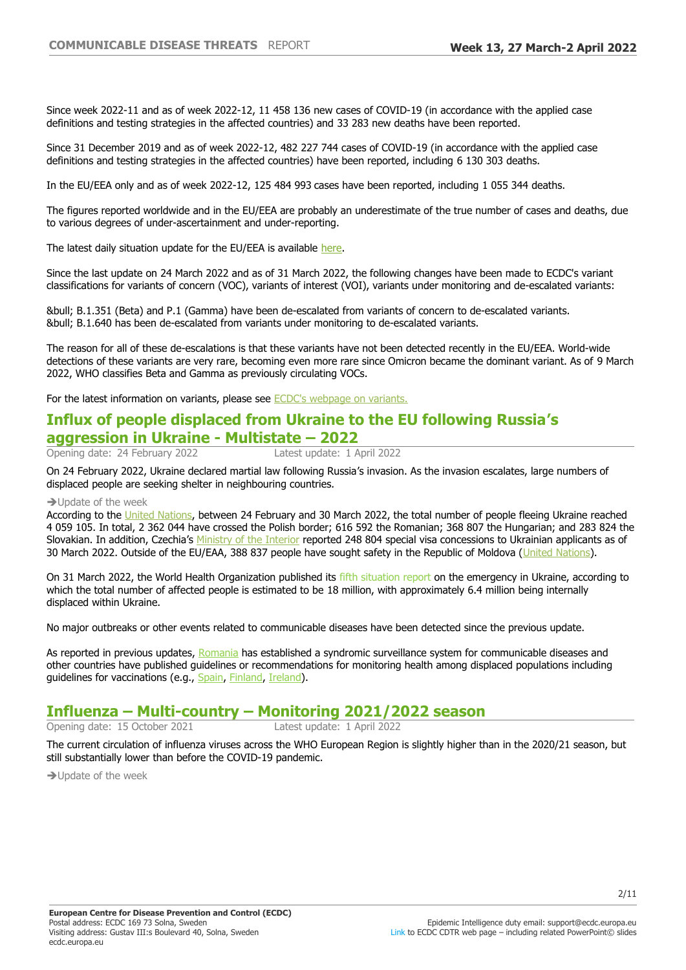Since week 2022-11 and as of week 2022-12, 11 458 136 new cases of COVID-19 (in accordance with the applied case definitions and testing strategies in the affected countries) and 33 283 new deaths have been reported.

Since 31 December 2019 and as of week 2022-12, 482 227 744 cases of COVID-19 (in accordance with the applied case definitions and testing strategies in the affected countries) have been reported, including 6 130 303 deaths.

In the EU/EEA only and as of week 2022-12, 125 484 993 cases have been reported, including 1 055 344 deaths.

The figures reported worldwide and in the EU/EEA are probably an underestimate of the true number of cases and deaths, due to various degrees of under-ascertainment and under-reporting.

The latest daily situation update for the EU/EEA is available [here.](https://www.ecdc.europa.eu/en/cases-2019-ncov-eueea)

Since the last update on 24 March 2022 and as of 31 March 2022, the following changes have been made to ECDC's variant classifications for variants of concern (VOC), variants of interest (VOI), variants under monitoring and de-escalated variants:

• B.1.351 (Beta) and P.1 (Gamma) have been de-escalated from variants of concern to de-escalated variants. • B.1.640 has been de-escalated from variants under monitoring to de-escalated variants.

The reason for all of these de-escalations is that these variants have not been detected recently in the EU/EEA. World-wide detections of these variants are very rare, becoming even more rare since Omicron became the dominant variant. As of 9 March 2022, WHO classifies Beta and Gamma as previously circulating VOCs.

For the latest information on variants, please see [ECDC's webpage on variants.](https://eur02.safelinks.protection.outlook.com/?url=https%3A%2F%2Fwww.ecdc.europa.eu%2Fen%2Fcovid-19%2Fvariants-concern&data=04%7C01%7C%7Ccb9b8b47806242cb8c7e08d9b635ab36%7C6ad73702409c4046ae59cc4bea334507%7C0%7C0%7C637741163891866690%7CUnknown%7CTWFpbGZsb3d8eyJWIjoiMC4wLjAwMDAiLCJQIjoiV2luMzIiLCJBTiI6Ik1haWwiLCJXVCI6Mn0%3D%7C3000&sdata=HhGTCmImJ1iIMdBws5WLPDFX4%2F2K8pUGG1P%2FdT7iY84%3D&reserved=0)

# **Influx of people displaced from Ukraine to the EU following Russia's aggression in Ukraine - Multistate - 2022**<br>Opening date: 24 February 2022 Latest update: 1 April 2022

Opening date: 24 February 2022

On 24 February 2022, Ukraine declared martial law following Russia's invasion. As the invasion escalates, large numbers of displaced people are seeking shelter in neighbouring countries.

#### $\rightarrow$  Update of the week

According to the [United Nations,](http://data2.unhcr.org/en/situations/ukraine) between 24 February and 30 March 2022, the total number of people fleeing Ukraine reached 4 059 105. In total, 2 362 044 have crossed the Polish border; 616 592 the Romanian; 368 807 the Hungarian; and 283 824 the Slovakian. In addition, Czechia's [Ministry of the Interior](https://twitter.com/vnitro/status/1506903648663711747) reported 248 804 special visa concessions to Ukrainian applicants as of 30 March 2022. Outside of the EU/EAA, 388 837 people have sought safety in the Republic of Moldova ([United Nations](http://data2.unhcr.org/en/situations/ukraine)).

On 31 March 2022, the World Health Organization published its fifth situation report on the emergency in Ukraine, according to which the total number of affected people is estimated to be 18 million, with approximately 6.4 million being internally displaced within Ukraine.

No major outbreaks or other events related to communicable diseases have been detected since the previous update.

As reported in previous updates, [Romania](https://insp.gov.ro/wp-content/uploads/2022/03/Sistem-supraveghere-de-tip-sindromic.pdf) has established a syndromic surveillance system for communicable diseases and other countries have published guidelines or recommendations for monitoring health among displaced populations including guidelines for vaccinations (e.g., [Spain,](https://www.sanidad.gob.es/gabinetePrensa/ucrania/docs/Guia_de_actuacion_desplazados-Ucrania_18.03.2022.pdf) [Finland,](https://thl.fi/fi/web/infektiotaudit-ja-rokotukset/ajankohtaista/ukrainasta-saapuneiden-henkiloiden-infektiotautien-ehkaisy-ja-rokotukset) [Ireland\)](https://www.hse.ie/eng/health/immunisation/hcpinfo/ukraine/).

## **Influenza ±Multi-country ±Monitoring 2021/2022 season**

Opening date: 15 October 2021 Latest update: 1 April 2022

The current circulation of influenza viruses across the WHO European Region is slightly higher than in the 2020/21 season, but still substantially lower than before the COVID-19 pandemic.

 $\rightarrow$  Update of the week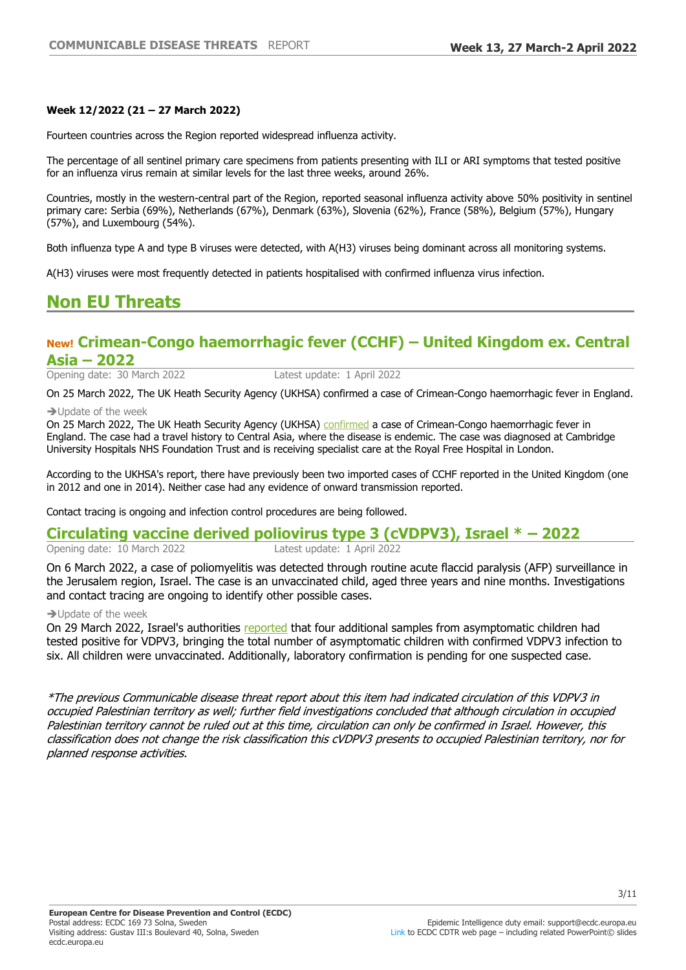#### **Week 12/2022 (21±27 March 2022)**

Fourteen countries across the Region reported widespread influenza activity.

The percentage of all sentinel primary care specimens from patients presenting with ILI or ARI symptoms that tested positive for an influenza virus remain at similar levels for the last three weeks, around 26%.

Countries, mostly in the western-central part of the Region, reported seasonal influenza activity above 50% positivity in sentinel primary care: Serbia (69%), Netherlands (67%), Denmark (63%), Slovenia (62%), France (58%), Belgium (57%), Hungary (57%), and Luxembourg (54%).

Both influenza type A and type B viruses were detected, with A(H3) viruses being dominant across all monitoring systems.

A(H3) viruses were most frequently detected in patients hospitalised with confirmed influenza virus infection.

# **Non EU Threats**

## **New! Crimean-Congo haemorrhagic fever (CCHF) ±United Kingdom ex. Central Asia – 2022**

Opening date: 30 March 2022 Latest update: 1 April 2022

On 25 March 2022, The UK Heath Security Agency (UKHSA) confirmed a case of Crimean-Congo haemorrhagic fever in England.

 $\rightarrow$  Update of the week

On 25 March 2022, The UK Heath Security Agency (UKHSA) [confirmed](https://www.gov.uk/government/news/crimean-congo-haemorrhagic-fever-case-identified-in-england-following-travel-to-central-asia) a case of Crimean-Congo haemorrhagic fever in England. The case had a travel history to Central Asia, where the disease is endemic. The case was diagnosed at Cambridge University Hospitals NHS Foundation Trust and is receiving specialist care at the Royal Free Hospital in London.

According to the UKHSA's report, there have previously been two imported cases of CCHF reported in the United Kingdom (one in 2012 and one in 2014). Neither case had any evidence of onward transmission reported.

Contact tracing is ongoing and infection control procedures are being followed.

# **Circulating vaccine derived poliovirus type 3 (cVDPV3), Israel \* - 2022**<br>Opening date: 10 March 2022<br>Latest update: 1 April 2022

Opening date: 10 March 2022

On 6 March 2022, a case of poliomyelitis was detected through routine acute flaccid paralysis (AFP) surveillance in the Jerusalem region, Israel. The case is an unvaccinated child, aged three years and nine months. Investigations and contact tracing are ongoing to identify other possible cases.

 $\rightarrow$  Update of the week

On 29 March 2022, Israel's authorities [reported](https://www.gov.il/he/departments/news/29032022-01) that four additional samples from asymptomatic children had tested positive for VDPV3, bringing the total number of asymptomatic children with confirmed VDPV3 infection to six. All children were unvaccinated. Additionally, laboratory confirmation is pending for one suspected case.

\*The previous Communicable disease threat report about this item had indicated circulation of this VDPV3 in occupied Palestinian territory as well; further field investigations concluded that although circulation in occupied Palestinian territory cannot be ruled out at this time, circulation can only be confirmed in Israel. However, this classification does not change the risk classification this cVDPV3 presents to occupied Palestinian territory, nor for planned response activities.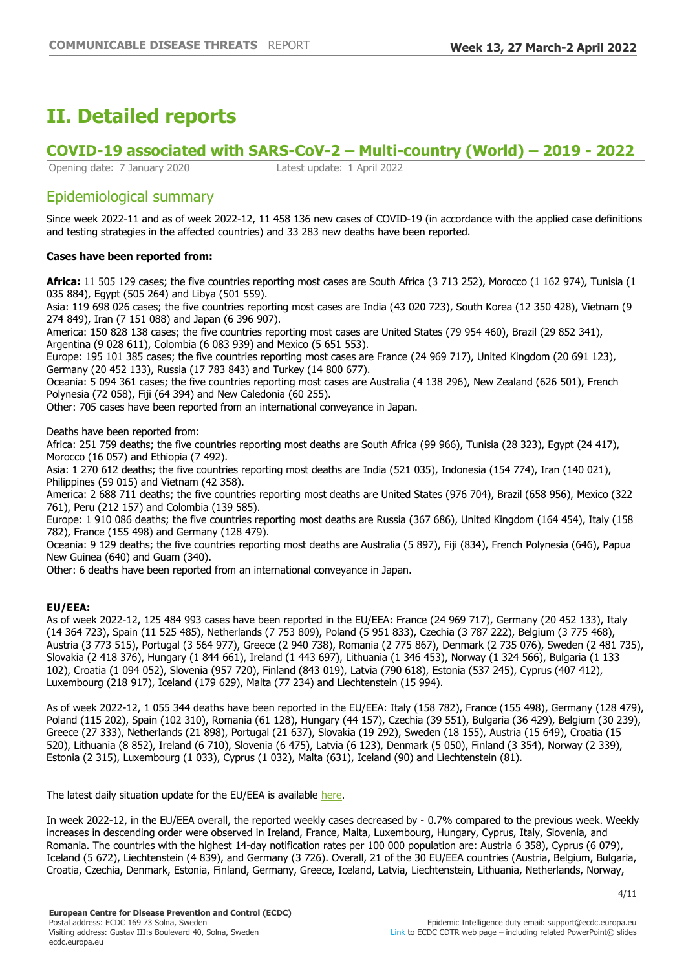# **II. Detailed reports**

# **COVID-19 associated with SARS-CoV-2 ±Multi-country (World) ±**

Opening date: 7 January 2020 Latest update: 1 April 2022

# Epidemiological summary

Since week 2022-11 and as of week 2022-12, 11 458 136 new cases of COVID-19 (in accordance with the applied case definitions and testing strategies in the affected countries) and 33 283 new deaths have been reported.

## **Cases have been reported from:**

**Africa:** 11 505 129 cases; the five countries reporting most cases are South Africa (3 713 252), Morocco (1 162 974), Tunisia (1 035 884), Egypt (505 264) and Libya (501 559).

Asia: 119 698 026 cases; the five countries reporting most cases are India (43 020 723), South Korea (12 350 428), Vietnam (9 274 849), Iran (7 151 088) and Japan (6 396 907).

America: 150 828 138 cases; the five countries reporting most cases are United States (79 954 460), Brazil (29 852 341), Argentina (9 028 611), Colombia (6 083 939) and Mexico (5 651 553).

Europe: 195 101 385 cases; the five countries reporting most cases are France (24 969 717), United Kingdom (20 691 123), Germany (20 452 133), Russia (17 783 843) and Turkey (14 800 677).

Oceania: 5 094 361 cases; the five countries reporting most cases are Australia (4 138 296), New Zealand (626 501), French Polynesia (72 058), Fiji (64 394) and New Caledonia (60 255).

Other: 705 cases have been reported from an international conveyance in Japan.

Deaths have been reported from:

Africa: 251 759 deaths; the five countries reporting most deaths are South Africa (99 966), Tunisia (28 323), Egypt (24 417), Morocco (16 057) and Ethiopia (7 492).

Asia: 1 270 612 deaths; the five countries reporting most deaths are India (521 035), Indonesia (154 774), Iran (140 021), Philippines (59 015) and Vietnam (42 358).

America: 2 688 711 deaths; the five countries reporting most deaths are United States (976 704), Brazil (658 956), Mexico (322 761), Peru (212 157) and Colombia (139 585).

Europe: 1 910 086 deaths; the five countries reporting most deaths are Russia (367 686), United Kingdom (164 454), Italy (158 782), France (155 498) and Germany (128 479).

Oceania: 9 129 deaths; the five countries reporting most deaths are Australia (5 897), Fiji (834), French Polynesia (646), Papua New Guinea (640) and Guam (340).

Other: 6 deaths have been reported from an international conveyance in Japan.

### **EU/EEA:**

As of week 2022-12, 125 484 993 cases have been reported in the EU/EEA: France (24 969 717), Germany (20 452 133), Italy (14 364 723), Spain (11 525 485), Netherlands (7 753 809), Poland (5 951 833), Czechia (3 787 222), Belgium (3 775 468), Austria (3 773 515), Portugal (3 564 977), Greece (2 940 738), Romania (2 775 867), Denmark (2 735 076), Sweden (2 481 735), Slovakia (2 418 376), Hungary (1 844 661), Ireland (1 443 697), Lithuania (1 346 453), Norway (1 324 566), Bulgaria (1 133 102), Croatia (1 094 052), Slovenia (957 720), Finland (843 019), Latvia (790 618), Estonia (537 245), Cyprus (407 412), Luxembourg (218 917), Iceland (179 629), Malta (77 234) and Liechtenstein (15 994).

As of week 2022-12, 1 055 344 deaths have been reported in the EU/EEA: Italy (158 782), France (155 498), Germany (128 479), Poland (115 202), Spain (102 310), Romania (61 128), Hungary (44 157), Czechia (39 551), Bulgaria (36 429), Belgium (30 239), Greece (27 333), Netherlands (21 898), Portugal (21 637), Slovakia (19 292), Sweden (18 155), Austria (15 649), Croatia (15 520), Lithuania (8 852), Ireland (6 710), Slovenia (6 475), Latvia (6 123), Denmark (5 050), Finland (3 354), Norway (2 339), Estonia (2 315), Luxembourg (1 033), Cyprus (1 032), Malta (631), Iceland (90) and Liechtenstein (81).

The latest daily situation update for the EU/EEA is available [here.](https://www.ecdc.europa.eu/en/cases-2019-ncov-eueea)

In week 2022-12, in the EU/EEA overall, the reported weekly cases decreased by - 0.7% compared to the previous week. Weekly increases in descending order were observed in Ireland, France, Malta, Luxembourg, Hungary, Cyprus, Italy, Slovenia, and Romania. The countries with the highest 14-day notification rates per 100 000 population are: Austria 6 358), Cyprus (6 079), Iceland (5 672), Liechtenstein (4 839), and Germany (3 726). Overall, 21 of the 30 EU/EEA countries (Austria, Belgium, Bulgaria, Croatia, Czechia, Denmark, Estonia, Finland, Germany, Greece, Iceland, Latvia, Liechtenstein, Lithuania, Netherlands, Norway,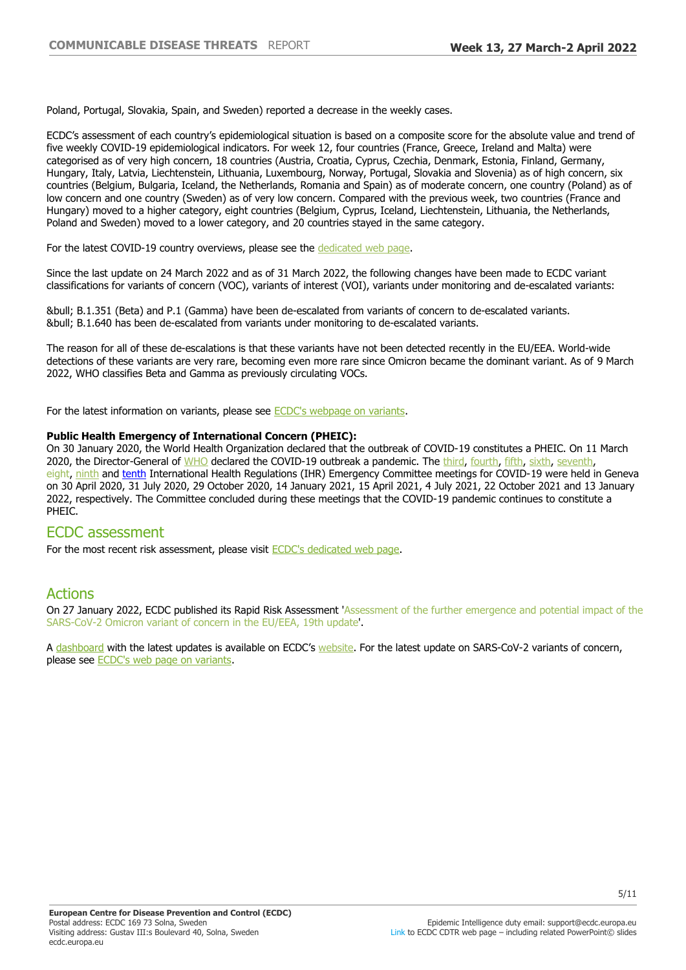Poland, Portugal, Slovakia, Spain, and Sweden) reported a decrease in the weekly cases.

ECDC's assessment of each country's epidemiological situation is based on a composite score for the absolute value and trend of five weekly COVID-19 epidemiological indicators. For week 12, four countries (France, Greece, Ireland and Malta) were categorised as of very high concern, 18 countries (Austria, Croatia, Cyprus, Czechia, Denmark, Estonia, Finland, Germany, Hungary, Italy, Latvia, Liechtenstein, Lithuania, Luxembourg, Norway, Portugal, Slovakia and Slovenia) as of high concern, six countries (Belgium, Bulgaria, Iceland, the Netherlands, Romania and Spain) as of moderate concern, one country (Poland) as of low concern and one country (Sweden) as of very low concern. Compared with the previous week, two countries (France and Hungary) moved to a higher category, eight countries (Belgium, Cyprus, Iceland, Liechtenstein, Lithuania, the Netherlands, Poland and Sweden) moved to a lower category, and 20 countries stayed in the same category.

For the latest COVID-19 country overviews, please see the [dedicated web page.](https://covid19-country-overviews.ecdc.europa.eu/)

Since the last update on 24 March 2022 and as of 31 March 2022, the following changes have been made to ECDC variant classifications for variants of concern (VOC), variants of interest (VOI), variants under monitoring and de-escalated variants:

• B.1.351 (Beta) and P.1 (Gamma) have been de-escalated from variants of concern to de-escalated variants. • B.1.640 has been de-escalated from variants under monitoring to de-escalated variants.

The reason for all of these de-escalations is that these variants have not been detected recently in the EU/EEA. World-wide detections of these variants are very rare, becoming even more rare since Omicron became the dominant variant. As of 9 March 2022, WHO classifies Beta and Gamma as previously circulating VOCs.

For the latest information on variants, please see [ECDC's webpage on variants.](https://www.ecdc.europa.eu/en/covid-19/variants-concern)

#### **Public Health Emergency of International Concern (PHEIC):**

On 30 January 2020, the World Health Organization declared that the outbreak of COVID-19 constitutes a PHEIC. On 11 March 2020, the Director-General of [WHO](https://www.who.int/director-general/speeches/detail/who-director-general-s-opening-remarks-at-the-media-briefing-on-covid-19---11-march-2020) declared the COVID-19 outbreak a pandemic. The [third](https://www.who.int/news-room/detail/01-05-2020-statement-on-the-third-meeting-of-the-international-health-regulations-(2005)-emergency-committee-regarding-the-outbreak-of-coronavirus-disease-(covid-19)), [fourth,](https://www.who.int/news-room/detail/01-08-2020-statement-on-the-fourth-meeting-of-the-international-health-regulations-(2005)-emergency-committee-regarding-the-outbreak-of-coronavirus-disease-(covid-19)) [fifth](https://www.who.int/news/item/30-10-2020-statement-on-the-fifth-meeting-of-the-international-health-regulations-(2005)-emergency-committee-regarding-the-coronavirus-disease-(covid-19)-pandemic), [sixth](https://www.who.int/news/item/15-01-2021-statement-on-the-sixth-meeting-of-the-international-health-regulations-(2005)-emergency-committee-regarding-the-coronavirus-disease-(covid-19)-pandemic), [seventh,](https://www.who.int/news/item/19-04-2021-statement-on-the-seventh-meeting-of-the-international-health-regulations-(2005)-emergency-committee-regarding-the-coronavirus-disease-(covid-19)-pandemic) eight, [ninth](https://www.who.int/news/item/26-10-2021-statement-on-the-ninth-meeting-of-the-international-health-regulations-(2005)-emergency-committee-regarding-the-coronavirus-disease-(covid-19)-pandemic) and [tenth](https://www.who.int/news/item/19-01-2022-statement-on-the-tenth-meeting-of-the-international-health-regulations-(2005)-emergency-committee-regarding-the-coronavirus-disease-(covid-19)-pandemic#:~:text=The%20tenth%20meeting%20of%20the%20Emergency%20Committee%20convened%20by%20the,00%20Geneva%20time%20(CEST).) International Health Regulations (IHR) Emergency Committee meetings for COVID-19 were held in Geneva on 30 April 2020, 31 July 2020, 29 October 2020, 14 January 2021, 15 April 2021, 4 July 2021, 22 October 2021 and 13 January 2022, respectively. The Committee concluded during these meetings that the COVID-19 pandemic continues to constitute a PHFIC.

## ECDC assessment

For the most recent risk assessment, please visit [ECDC's dedicated web page.](https://www.ecdc.europa.eu/en/current-risk-assessment-novel-coronavirus-situation)

## Actions

On 27 January 2022, ECDC published its Rapid Risk Assessment 'Assessment of the further emergence and potential impact of the SARS-CoV-2 Omicron variant of concern in the EU/EEA, 19th update'.

A [dashboard](https://vaccinetracker.ecdc.europa.eu/public/extensions/COVID-19/covid-19.html) with the latest updates is available on ECDC's [website.](https://www.ecdc.europa.eu/en) For the latest update on SARS-CoV-2 variants of concern, please see [ECDC's web page on variants](https://www.ecdc.europa.eu/en/covid-19/variants-concern).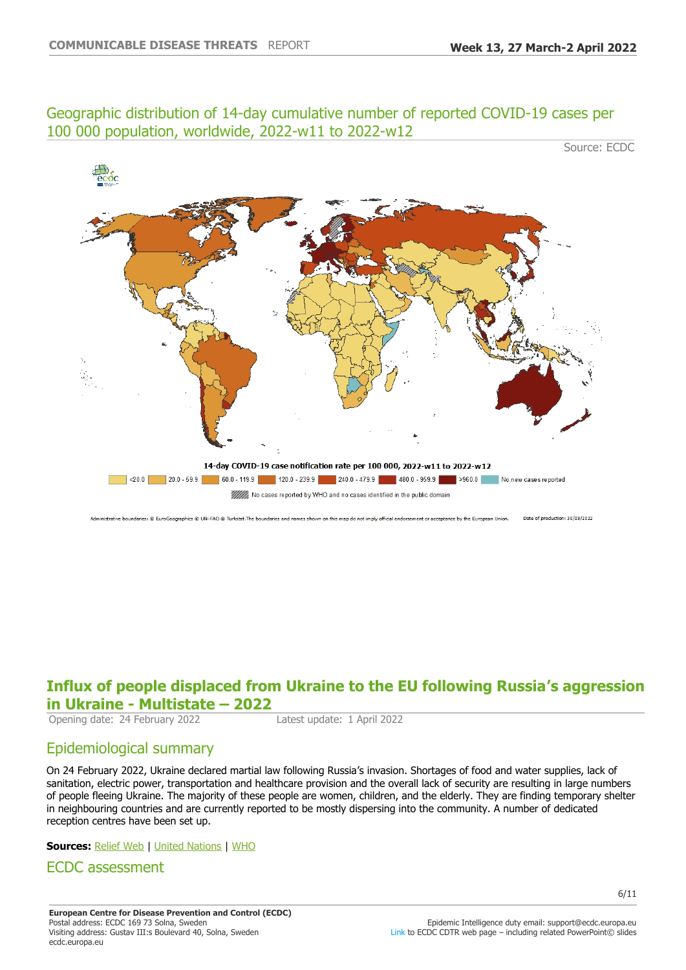## Geographic distribution of 14-day cumulative number of reported COVID-19 cases per 100 000 population, worldwide, 2022-w11 to 2022-w12

Source: ECDC



Date of production: 30/03/2022 strative boundaries: © EuroGeographics © UN-FAO © Turkstat.The boundaries and names shown on this map do not imply official endorsement or acceptance by the European Union.

# **Influx of people displaced from Ukraine to the EU following Russia¶s aggression in Ukraine - Multistate - 2022**

Opening date: 24 February 2022 Latest update: 1 April 2022

# Epidemiological summary

On 24 February 2022, Ukraine declared martial law following Russia's invasion. Shortages of food and water supplies, lack of sanitation, electric power, transportation and healthcare provision and the overall lack of security are resulting in large numbers of people fleeing Ukraine. The majority of these people are women, children, and the elderly. They are finding temporary shelter in neighbouring countries and are currently reported to be mostly dispersing into the community. A number of dedicated reception centres have been set up.

### **Sources:** [Relief Web](https://reliefweb.int/sites/reliefweb.int/files/resources/Ukraine%20Humanitarian%20Impact%20Situation%20Report%202%20March.pdf) | [United Nations](http://data2.unhcr.org/en/situations/ukraine) | [WHO](https://worldhealthorg.shinyapps.io/EURO_COVID-19_vaccine_monitor/)

## ECDC assessment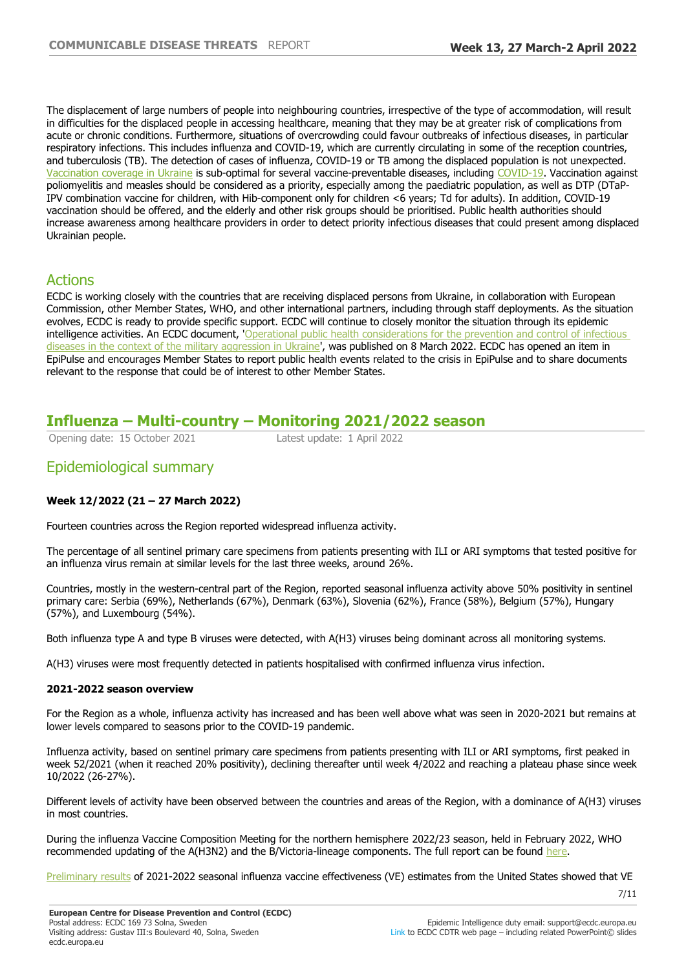The displacement of large numbers of people into neighbouring countries, irrespective of the type of accommodation, will result in difficulties for the displaced people in accessing healthcare, meaning that they may be at greater risk of complications from acute or chronic conditions. Furthermore, situations of overcrowding could favour outbreaks of infectious diseases, in particular respiratory infections. This includes influenza and COVID-19, which are currently circulating in some of the reception countries, and tuberculosis (TB). The detection of cases of influenza, COVID-19 or TB among the displaced population is not unexpected. [Vaccination coverage in Ukraine](https://immunizationdata.who.int/listing.html) is sub-optimal for several vaccine-preventable diseases, including [COVID-19.](https://worldhealthorg.shinyapps.io/EURO_COVID-19_vaccine_monitor/) Vaccination against poliomyelitis and measles should be considered as a priority, especially among the paediatric population, as well as DTP (DTaP-IPV combination vaccine for children, with Hib-component only for children <6 years; Td for adults). In addition, COVID-19 vaccination should be offered, and the elderly and other risk groups should be prioritised. Public health authorities should increase awareness among healthcare providers in order to detect priority infectious diseases that could present among displaced Ukrainian people.

# Actions

ECDC is working closely with the countries that are receiving displaced persons from Ukraine, in collaboration with European Commission, other Member States, WHO, and other international partners, including through staff deployments. As the situation evolves, ECDC is ready to provide specific support. ECDC will continue to closely monitor the situation through its epidemic intelligence activities. An ECDC document, '[Operational public health considerations for the prevention and control of infectious](https://www.ecdc.europa.eu/en/publications-data/operational-public-health-considerations-prevention-and-control-infectious)  [diseases in the context of the military aggression in Ukraine](https://www.ecdc.europa.eu/en/publications-data/operational-public-health-considerations-prevention-and-control-infectious)', was published on 8 March 2022. ECDC has opened an item in EpiPulse and encourages Member States to report public health events related to the crisis in EpiPulse and to share documents relevant to the response that could be of interest to other Member States.

# **Influenza ±Multi-country ±Monitoring 2021/2022 season**

Opening date: 15 October 2021 Latest update: 1 April 2022

# Epidemiological summary

## **Week 12/2022 (21±27 March 2022)**

Fourteen countries across the Region reported widespread influenza activity.

The percentage of all sentinel primary care specimens from patients presenting with ILI or ARI symptoms that tested positive for an influenza virus remain at similar levels for the last three weeks, around 26%.

Countries, mostly in the western-central part of the Region, reported seasonal influenza activity above 50% positivity in sentinel primary care: Serbia (69%), Netherlands (67%), Denmark (63%), Slovenia (62%), France (58%), Belgium (57%), Hungary (57%), and Luxembourg (54%).

Both influenza type A and type B viruses were detected, with A(H3) viruses being dominant across all monitoring systems.

A(H3) viruses were most frequently detected in patients hospitalised with confirmed influenza virus infection.

#### **2021-2022 season overview**

For the Region as a whole, influenza activity has increased and has been well above what was seen in 2020-2021 but remains at lower levels compared to seasons prior to the COVID-19 pandemic.

Influenza activity, based on sentinel primary care specimens from patients presenting with ILI or ARI symptoms, first peaked in week 52/2021 (when it reached 20% positivity), declining thereafter until week 4/2022 and reaching a plateau phase since week 10/2022 (26-27%).

Different levels of activity have been observed between the countries and areas of the Region, with a dominance of A(H3) viruses in most countries.

During the influenza Vaccine Composition Meeting for the northern hemisphere 2022/23 season, held in February 2022, WHO recommended updating of the A(H3N2) and the B/Victoria-lineage components. The full report can be found [here](https://eur02.safelinks.protection.outlook.com/?url=https%3A%2F%2Fwww.who.int%2Fnews%2Fitem%2F25-02-2022-recommendations-announced-for-influenza-vaccine-composition-for-the-2022-2023-northern-hemisphere-influenza-season&data=04%7C01%7C%7Cb9cdcbb5a73347300bc008da1314cefe%7C6ad73702409c4046ae59cc4bea334507%7C0%7C0%7C637843277327792298%7CUnknown%7CTWFpbGZsb3d8eyJWIjoiMC4wLjAwMDAiLCJQIjoiV2luMzIiLCJBTiI6Ik1haWwiLCJXVCI6Mn0%3D%7C3000&sdata=Q1nRbedKBSG9OkMKXw7NrqqRSyGL6D76XTBvazIPbM8%3D&reserved=0).

[Preliminary results](https://eur02.safelinks.protection.outlook.com/?url=https%3A%2F%2Fwww.cdc.gov%2Fmmwr%2Fvolumes%2F71%2Fwr%2Fpdfs%2Fmm7110a1-H.pdf&data=04%7C01%7C%7Cb9cdcbb5a73347300bc008da1314cefe%7C6ad73702409c4046ae59cc4bea334507%7C0%7C0%7C637843277327792298%7CUnknown%7CTWFpbGZsb3d8eyJWIjoiMC4wLjAwMDAiLCJQIjoiV2luMzIiLCJBTiI6Ik1haWwiLCJXVCI6Mn0%3D%7C3000&sdata=naCM5VTXiXlSDhHdiOJseygmHA5eItweaTZNqPOqFpI%3D&reserved=0) of 2021-2022 seasonal influenza vaccine effectiveness (VE) estimates from the United States showed that VE

7/11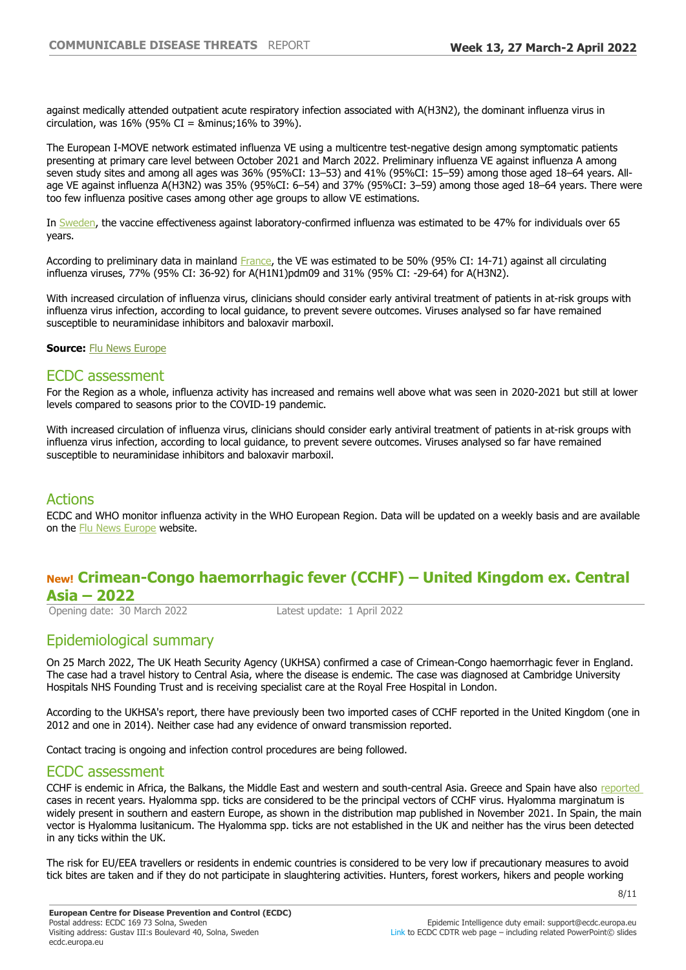against medically attended outpatient acute respiratory infection associated with A(H3N2), the dominant influenza virus in circulation, was  $16\%$  (95% CI = &minus:  $16\%$  to 39%).

The European I-MOVE network estimated influenza VE using a multicentre test-negative design among symptomatic patients presenting at primary care level between October 2021 and March 2022. Preliminary influenza VE against influenza A among seven study sites and among all ages was 36% (95%CI: 13-53) and 41% (95%CI: 15-59) among those aged 18-64 years. Allage VE against influenza A(H3N2) was 35% (95%CI: 6-54) and 37% (95%CI: 3-59) among those aged 18-64 years. There were too few influenza positive cases among other age groups to allow VE estimations.

In [Sweden,](https://eur02.safelinks.protection.outlook.com/?url=https%3A%2F%2Fvardgivarguiden.se%2Fglobalassets%2Fkunskapsstod%2Fsmittskydd%2Fstatistik%2Finfluensa%2Finfluensasasongen-2021-2022.pdf&data=04%7C01%7C%7Cb9cdcbb5a73347300bc008da1314cefe%7C6ad73702409c4046ae59cc4bea334507%7C0%7C0%7C637843277327792298%7CUnknown%7CTWFpbGZsb3d8eyJWIjoiMC4wLjAwMDAiLCJQIjoiV2luMzIiLCJBTiI6Ik1haWwiLCJXVCI6Mn0%3D%7C3000&sdata=%2B32tSSgJ0EVkyT2U9uRGwV0toviULaoew5JJlEDZ5WE%3D&reserved=0) the vaccine effectiveness against laboratory-confirmed influenza was estimated to be 47% for individuals over 65 years.

According to preliminary data in mainland [France,](https://eur02.safelinks.protection.outlook.com/?url=https%3A%2F%2Fwww.santepubliquefrance.fr%2Fmaladies-et-traumatismes%2Fmaladies-et-infections-respiratoires%2Fgrippe%2Fdocuments%2Fbulletin-national%2Fbulletin-epidemiologique-grippe-semaine-11.-saison-2021-2022&data=04%7C01%7C%7Cb9cdcbb5a73347300bc008da1314cefe%7C6ad73702409c4046ae59cc4bea334507%7C0%7C0%7C637843277327792298%7CUnknown%7CTWFpbGZsb3d8eyJWIjoiMC4wLjAwMDAiLCJQIjoiV2luMzIiLCJBTiI6Ik1haWwiLCJXVCI6Mn0%3D%7C3000&sdata=aE2SiBn2iDjHStEVwyLPsIohTSRLmxI1dk1tIItmWgI%3D&reserved=0) the VE was estimated to be 50% (95% CI: 14-71) against all circulating influenza viruses, 77% (95% CI: 36-92) for A(H1N1)pdm09 and 31% (95% CI: -29-64) for A(H3N2).

With increased circulation of influenza virus, clinicians should consider early antiviral treatment of patients in at-risk groups with influenza virus infection, according to local guidance, to prevent severe outcomes. Viruses analysed so far have remained susceptible to neuraminidase inhibitors and baloxavir marboxil.

**Source:** [Flu News Europe](https://flunewseurope.org/)

## ECDC assessment

For the Region as a whole, influenza activity has increased and remains well above what was seen in 2020-2021 but still at lower levels compared to seasons prior to the COVID-19 pandemic.

With increased circulation of influenza virus, clinicians should consider early antiviral treatment of patients in at-risk groups with influenza virus infection, according to local guidance, to prevent severe outcomes. Viruses analysed so far have remained susceptible to neuraminidase inhibitors and baloxavir marboxil.

## Actions

ECDC and WHO monitor influenza activity in the WHO European Region. Data will be updated on a weekly basis and are available on the [Flu News Europe](https://flunewseurope.org/) website.

## **New! Crimean-Congo haemorrhagic fever (CCHF) ±United Kingdom ex. Central Asia – 2022**

Opening date: 30 March 2022 Latest update: 1 April 2022

# Epidemiological summary

On 25 March 2022, The UK Heath Security Agency (UKHSA) confirmed a case of Crimean-Congo haemorrhagic fever in England. The case had a travel history to Central Asia, where the disease is endemic. The case was diagnosed at Cambridge University Hospitals NHS Founding Trust and is receiving specialist care at the Royal Free Hospital in London.

According to the UKHSA's report, there have previously been two imported cases of CCHF reported in the United Kingdom (one in 2012 and one in 2014). Neither case had any evidence of onward transmission reported.

Contact tracing is ongoing and infection control procedures are being followed.

## ECDC assessment

CCHF is endemic in Africa, the Balkans, the Middle East and western and south-central Asia. Greece and Spain have also [reported](https://www.ecdc.europa.eu/sites/default/files/documents/Communicable-disease-threats-report-13-june-2020.pdf)  cases in recent years. Hyalomma spp. ticks are considered to be the principal vectors of CCHF virus. Hyalomma marginatum is widely present in southern and eastern Europe, as shown in the distribution map published in November 2021. In Spain, the main vector is Hyalomma lusitanicum. The Hyalomma spp. ticks are not established in the UK and neither has the virus been detected in any ticks within the UK.

The risk for EU/EEA travellers or residents in endemic countries is considered to be very low if precautionary measures to avoid tick bites are taken and if they do not participate in slaughtering activities. Hunters, forest workers, hikers and people working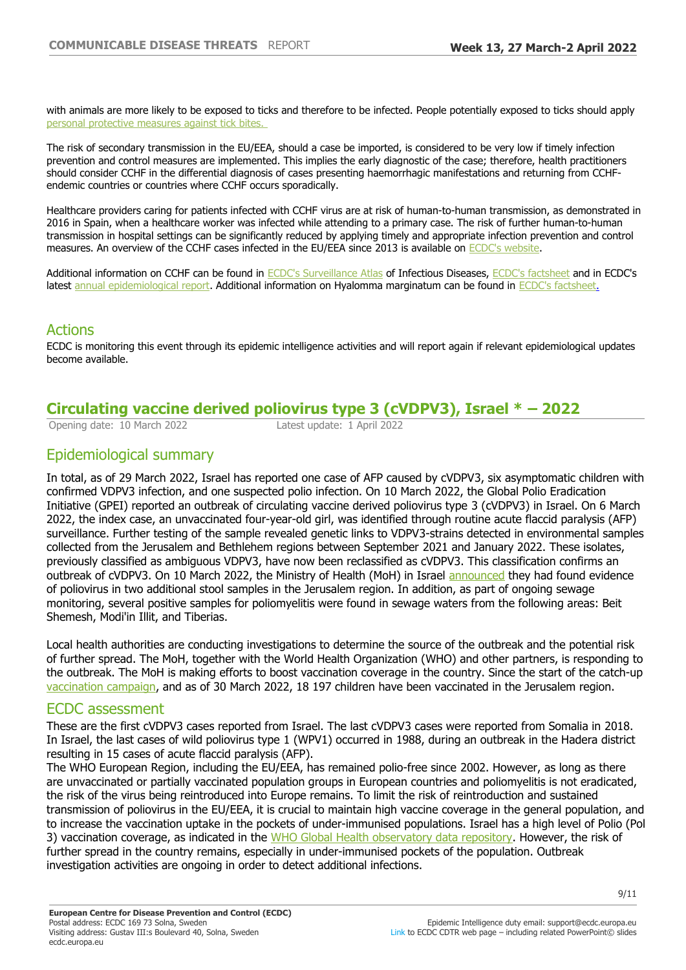with animals are more likely to be exposed to ticks and therefore to be infected. People potentially exposed to ticks should apply [personal protective measures against tick bites.](https://www.ecdc.europa.eu/en/disease-vectors/prevention-and-control/protective-measures-ticks) 

The risk of secondary transmission in the EU/EEA, should a case be imported, is considered to be very low if timely infection prevention and control measures are implemented. This implies the early diagnostic of the case; therefore, health practitioners should consider CCHF in the differential diagnosis of cases presenting haemorrhagic manifestations and returning from CCHFendemic countries or countries where CCHF occurs sporadically.

Healthcare providers caring for patients infected with CCHF virus are at risk of human-to-human transmission, as demonstrated in 2016 in Spain, when a healthcare worker was infected while attending to a primary case. The risk of further human-to-human transmission in hospital settings can be significantly reduced by applying timely and appropriate infection prevention and control measures. An overview of the CCHF cases infected in the EU/EEA since 2013 is available on [ECDC's website](https://www.ecdc.europa.eu/en/crimean-congo-haemorrhagic-fever/surveillance/cases-eu-since-2013).

Additional information on CCHF can be found in [ECDC's Surveillance Atlas](https://www.ecdc.europa.eu/en/surveillance-atlas-infectious-diseases) of Infectious Diseases, [ECDC's factsheet](https://www.ecdc.europa.eu/en/crimean-congo-haemorrhagic-fever/facts/factsheet) and in ECDC's latest [annual epidemiological report](https://www.ecdc.europa.eu/en/publications-data/crimean-congo-haemorrhagic-fever-annual-epidemiological-report-2019). Additional information on Hyalomma marginatum can be found in [ECDC's factsheet.](https://www.ecdc.europa.eu/en/crimean-congo-haemorrhagic-fever/facts/factsheet)

# Actions

ECDC is monitoring this event through its epidemic intelligence activities and will report again if relevant epidemiological updates become available.

# **Circulating vaccine derived poliovirus type 3 (cVDPV3), Israel \* ±**

Opening date: 10 March 2022 Latest update: 1 April 2022

# Epidemiological summary

In total, as of 29 March 2022, Israel has reported one case of AFP caused by cVDPV3, six asymptomatic children with confirmed VDPV3 infection, and one suspected polio infection. On 10 March 2022, the Global Polio Eradication Initiative (GPEI) reported an outbreak of circulating vaccine derived poliovirus type 3 (cVDPV3) in Israel. On 6 March 2022, the index case, an unvaccinated four-year-old girl, was identified through routine acute flaccid paralysis (AFP) surveillance. Further testing of the sample revealed genetic links to VDPV3-strains detected in environmental samples collected from the Jerusalem and Bethlehem regions between September 2021 and January 2022. These isolates, previously classified as ambiguous VDPV3, have now been reclassified as cVDPV3. This classification confirms an outbreak of cVDPV3. On 10 March 2022, the Ministry of Health (MoH) in Israel [announced](https://www.gov.il/he/departments/news/10032022-01) they had found evidence of poliovirus in two additional stool samples in the Jerusalem region. In addition, as part of ongoing sewage monitoring, several positive samples for poliomyelitis were found in sewage waters from the following areas: Beit Shemesh, Modi'in Illit, and Tiberias.

Local health authorities are conducting investigations to determine the source of the outbreak and the potential risk of further spread. The MoH, together with the World Health Organization (WHO) and other partners, is responding to the outbreak. The MoH is making efforts to boost vaccination coverage in the country. Since the start of the catch-up [vaccination campaign](https://twitter.com/IsraelMOH/status/1509191994534514691), and as of 30 March 2022, 18 197 children have been vaccinated in the Jerusalem region.

## ECDC assessment

These are the first cVDPV3 cases reported from Israel. The last cVDPV3 cases were reported from Somalia in 2018. In Israel, the last cases of wild poliovirus type 1 (WPV1) occurred in 1988, during an outbreak in the Hadera district resulting in 15 cases of acute flaccid paralysis (AFP).

The WHO European Region, including the EU/EEA, has remained polio-free since 2002. However, as long as there are unvaccinated or partially vaccinated population groups in European countries and poliomyelitis is not eradicated, the risk of the virus being reintroduced into Europe remains. To limit the risk of reintroduction and sustained transmission of poliovirus in the EU/EEA, it is crucial to maintain high vaccine coverage in the general population, and to increase the vaccination uptake in the pockets of under-immunised populations. Israel has a high level of Polio (Pol 3) vaccination coverage, as indicated in the [WHO Global Health observatory data repository.](https://eur02.safelinks.protection.outlook.com/?url=https%3A%2F%2Fapps.who.int%2Fgho%2Fdata%2Fview.main.80601%3Flang%3Den&data=04%7C01%7C%7C8e5a582419ca420fb44008da12ffc982%7C6ad73702409c4046ae59cc4bea334507%7C0%7C0%7C637843187048618479%7CUnknown%7CTWFpbGZsb3d8eyJWIjoiMC4wLjAwMDAiLCJQIjoiV2luMzIiLCJBTiI6Ik1haWwiLCJXVCI6Mn0%3D%7C3000&sdata=XgbJ%2BaTSu%2BnDeEMy9gEUsvQXXpIrYzkmzeil7Gv%2B1C8%3D&reserved=0) However, the risk of further spread in the country remains, especially in under-immunised pockets of the population. Outbreak investigation activities are ongoing in order to detect additional infections.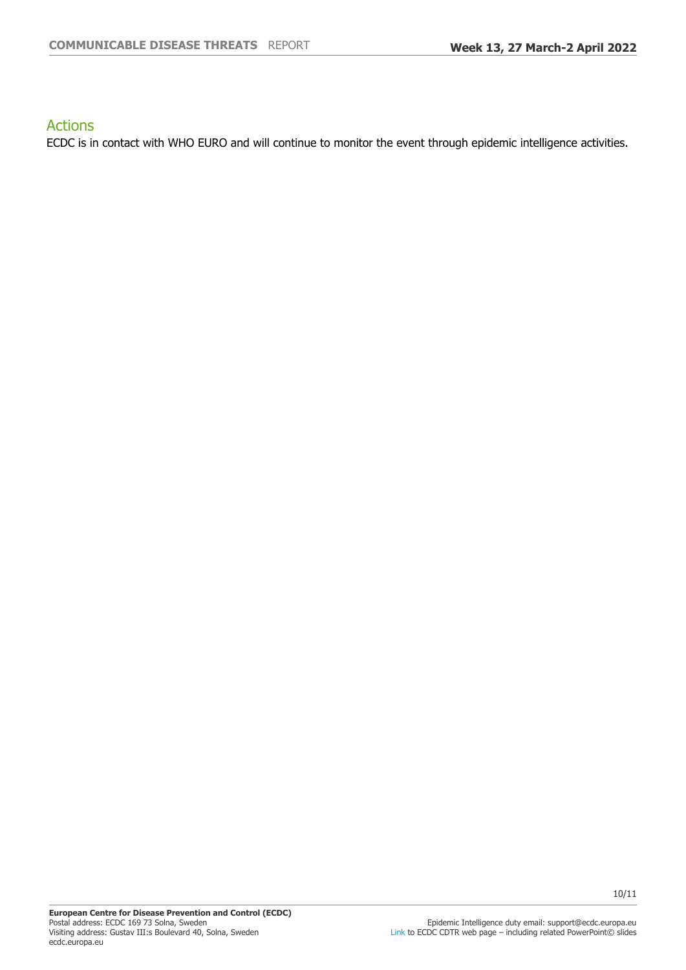# Actions

ECDC is in contact with WHO EURO and will continue to monitor the event through epidemic intelligence activities.